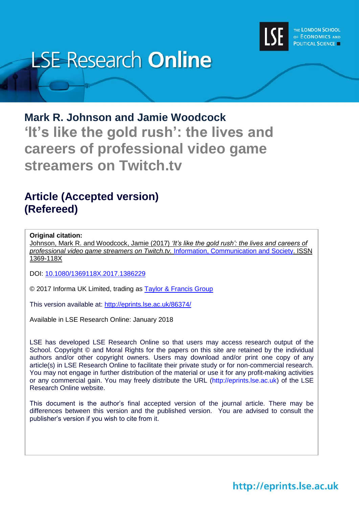

# **LSE Research Online**

**Mark R. Johnson and Jamie Woodcock 'It's like the gold rush': the lives and careers of professional video game streamers on Twitch.tv**

## **Article (Accepted version) (Refereed)**

#### **Original citation:**

Johnson, Mark R. and Woodcock, Jamie (2017) *'It's like the gold rush': the lives and careers of professional video game streamers on Twitch.tv.* [Information, Communication and Society.](http://www.tandfonline.com/toc/rics20/current) ISSN 1369-118X

DOI: [10.1080/1369118X.2017.1386229](http://doi.org/10.1080/1369118X.2017.1386229)

© 2017 Informa UK Limited, trading as [Taylor & Francis Group](http://taylorandfrancis.com/)

This version available at:<http://eprints.lse.ac.uk/86374/>

Available in LSE Research Online: January 2018

LSE has developed LSE Research Online so that users may access research output of the School. Copyright © and Moral Rights for the papers on this site are retained by the individual authors and/or other copyright owners. Users may download and/or print one copy of any article(s) in LSE Research Online to facilitate their private study or for non-commercial research. You may not engage in further distribution of the material or use it for any profit-making activities or any commercial gain. You may freely distribute the URL (http://eprints.lse.ac.uk) of the LSE Research Online website.

This document is the author's final accepted version of the journal article. There may be differences between this version and the published version. You are advised to consult the publisher's version if you wish to cite from it.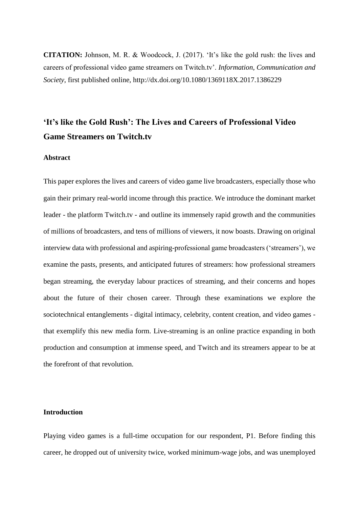**CITATION:** Johnson, M. R. & Woodcock, J. (2017). 'It's like the gold rush: the lives and careers of professional video game streamers on Twitch.tv'. *Information, Communication and Society*, first published online, http://dx.doi.org/10.1080/1369118X.2017.1386229

### **'It's like the Gold Rush': The Lives and Careers of Professional Video Game Streamers on Twitch.tv**

#### **Abstract**

This paper explores the lives and careers of video game live broadcasters, especially those who gain their primary real-world income through this practice. We introduce the dominant market leader - the platform Twitch.tv - and outline its immensely rapid growth and the communities of millions of broadcasters, and tens of millions of viewers, it now boasts. Drawing on original interview data with professional and aspiring-professional game broadcasters ('streamers'), we examine the pasts, presents, and anticipated futures of streamers: how professional streamers began streaming, the everyday labour practices of streaming, and their concerns and hopes about the future of their chosen career. Through these examinations we explore the sociotechnical entanglements - digital intimacy, celebrity, content creation, and video games that exemplify this new media form. Live-streaming is an online practice expanding in both production and consumption at immense speed, and Twitch and its streamers appear to be at the forefront of that revolution.

#### **Introduction**

Playing video games is a full-time occupation for our respondent, P1. Before finding this career, he dropped out of university twice, worked minimum-wage jobs, and was unemployed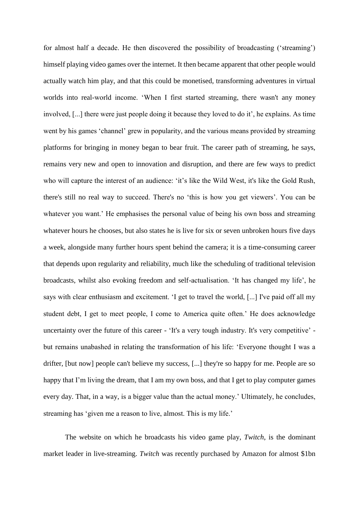for almost half a decade. He then discovered the possibility of broadcasting ('streaming') himself playing video games over the internet. It then became apparent that other people would actually watch him play, and that this could be monetised, transforming adventures in virtual worlds into real-world income. 'When I first started streaming, there wasn't any money involved, [...] there were just people doing it because they loved to do it', he explains. As time went by his games 'channel' grew in popularity, and the various means provided by streaming platforms for bringing in money began to bear fruit. The career path of streaming, he says, remains very new and open to innovation and disruption, and there are few ways to predict who will capture the interest of an audience: 'it's like the Wild West, it's like the Gold Rush, there's still no real way to succeed. There's no 'this is how you get viewers'. You can be whatever you want.' He emphasises the personal value of being his own boss and streaming whatever hours he chooses, but also states he is live for six or seven unbroken hours five days a week, alongside many further hours spent behind the camera; it is a time-consuming career that depends upon regularity and reliability, much like the scheduling of traditional television broadcasts, whilst also evoking freedom and self-actualisation. 'It has changed my life', he says with clear enthusiasm and excitement. 'I get to travel the world, [...] I've paid off all my student debt, I get to meet people, I come to America quite often.' He does acknowledge uncertainty over the future of this career - 'It's a very tough industry. It's very competitive' but remains unabashed in relating the transformation of his life: 'Everyone thought I was a drifter, [but now] people can't believe my success, [...] they're so happy for me. People are so happy that I'm living the dream, that I am my own boss, and that I get to play computer games every day. That, in a way, is a bigger value than the actual money.' Ultimately, he concludes, streaming has 'given me a reason to live, almost. This is my life.'

The website on which he broadcasts his video game play, *Twitch*, is the dominant market leader in live-streaming. *Twitch* was recently purchased by Amazon for almost \$1bn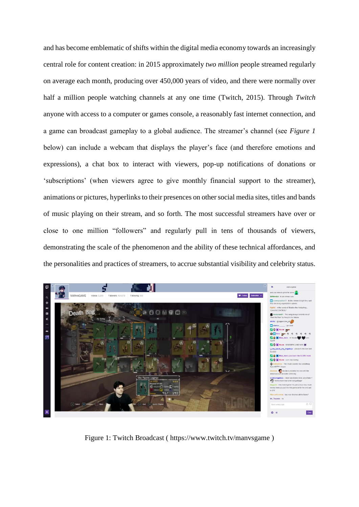and has become emblematic of shifts within the digital media economy towards an increasingly central role for content creation: in 2015 approximately *two million* people streamed regularly on average each month, producing over 450,000 years of video, and there were normally over half a million people watching channels at any one time (Twitch, 2015). Through *Twitch*  anyone with access to a computer or games console, a reasonably fast internet connection, and a game can broadcast gameplay to a global audience. The streamer's channel (see *Figure 1* below) can include a webcam that displays the player's face (and therefore emotions and expressions), a chat box to interact with viewers, pop-up notifications of donations or 'subscriptions' (when viewers agree to give monthly financial support to the streamer), animations or pictures, hyperlinks to their presences on other social media sites, titles and bands of music playing on their stream, and so forth. The most successful streamers have over or close to one million "followers" and regularly pull in tens of thousands of viewers, demonstrating the scale of the phenomenon and the ability of these technical affordances, and the personalities and practices of streamers, to accrue substantial visibility and celebrity status.



Figure 1: Twitch Broadcast ( https://www.twitch.tv/manvsgame )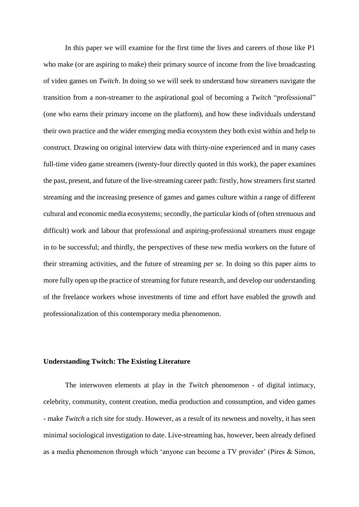In this paper we will examine for the first time the lives and careers of those like P1 who make (or are aspiring to make) their primary source of income from the live broadcasting of video games on *Twitch*. In doing so we will seek to understand how streamers navigate the transition from a non-streamer to the aspirational goal of becoming a *Twitch* "professional" (one who earns their primary income on the platform), and how these individuals understand their own practice and the wider emerging media ecosystem they both exist within and help to construct. Drawing on original interview data with thirty-nine experienced and in many cases full-time video game streamers (twenty-four directly quoted in this work), the paper examines the past, present, and future of the live-streaming career path: firstly, how streamers first started streaming and the increasing presence of games and games culture within a range of different cultural and economic media ecosystems; secondly, the particular kinds of (often strenuous and difficult) work and labour that professional and aspiring-professional streamers must engage in to be successful; and thirdly, the perspectives of these new media workers on the future of their streaming activities, and the future of streaming *per se*. In doing so this paper aims to more fully open up the practice of streaming for future research, and develop our understanding of the freelance workers whose investments of time and effort have enabled the growth and professionalization of this contemporary media phenomenon.

#### **Understanding Twitch: The Existing Literature**

The interwoven elements at play in the *Twitch* phenomenon - of digital intimacy, celebrity, community, content creation, media production and consumption, and video games - make *Twitch* a rich site for study. However, as a result of its newness and novelty, it has seen minimal sociological investigation to date. Live-streaming has, however, been already defined as a media phenomenon through which 'anyone can become a TV provider' (Pires & Simon,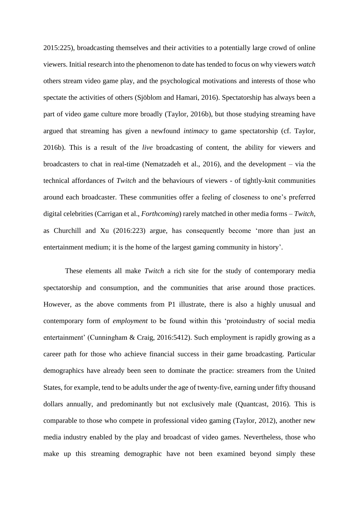2015:225), broadcasting themselves and their activities to a potentially large crowd of online viewers. Initial research into the phenomenon to date has tended to focus on why viewers *watch* others stream video game play, and the psychological motivations and interests of those who spectate the activities of others (Sjöblom and Hamari, 2016). Spectatorship has always been a part of video game culture more broadly (Taylor, 2016b), but those studying streaming have argued that streaming has given a newfound *intimacy* to game spectatorship (cf. Taylor, 2016b). This is a result of the *live* broadcasting of content, the ability for viewers and broadcasters to chat in real-time (Nematzadeh et al., 2016), and the development – via the technical affordances of *Twitch* and the behaviours of viewers - of tightly-knit communities around each broadcaster. These communities offer a feeling of closeness to one's preferred digital celebrities (Carrigan et al., *Forthcoming*) rarely matched in other media forms – *Twitch*, as Churchill and Xu (2016:223) argue, has consequently become 'more than just an entertainment medium; it is the home of the largest gaming community in history'.

These elements all make *Twitch* a rich site for the study of contemporary media spectatorship and consumption, and the communities that arise around those practices. However, as the above comments from P1 illustrate, there is also a highly unusual and contemporary form of *employment* to be found within this 'protoindustry of social media entertainment' (Cunningham & Craig, 2016:5412). Such employment is rapidly growing as a career path for those who achieve financial success in their game broadcasting. Particular demographics have already been seen to dominate the practice: streamers from the United States, for example, tend to be adults under the age of twenty-five, earning under fifty thousand dollars annually, and predominantly but not exclusively male (Quantcast, 2016). This is comparable to those who compete in professional video gaming (Taylor, 2012), another new media industry enabled by the play and broadcast of video games. Nevertheless, those who make up this streaming demographic have not been examined beyond simply these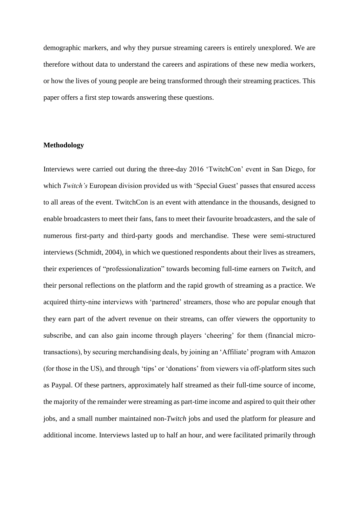demographic markers, and why they pursue streaming careers is entirely unexplored. We are therefore without data to understand the careers and aspirations of these new media workers, or how the lives of young people are being transformed through their streaming practices. This paper offers a first step towards answering these questions.

#### **Methodology**

Interviews were carried out during the three-day 2016 'TwitchCon' event in San Diego, for which *Twitch's* European division provided us with 'Special Guest' passes that ensured access to all areas of the event. TwitchCon is an event with attendance in the thousands, designed to enable broadcasters to meet their fans, fans to meet their favourite broadcasters, and the sale of numerous first-party and third-party goods and merchandise. These were semi-structured interviews (Schmidt, 2004), in which we questioned respondents about their lives as streamers, their experiences of "professionalization" towards becoming full-time earners on *Twitch*, and their personal reflections on the platform and the rapid growth of streaming as a practice. We acquired thirty-nine interviews with 'partnered' streamers, those who are popular enough that they earn part of the advert revenue on their streams, can offer viewers the opportunity to subscribe, and can also gain income through players 'cheering' for them (financial microtransactions), by securing merchandising deals, by joining an 'Affiliate' program with Amazon (for those in the US), and through 'tips' or 'donations' from viewers via off-platform sites such as Paypal. Of these partners, approximately half streamed as their full-time source of income, the majority of the remainder were streaming as part-time income and aspired to quit their other jobs, and a small number maintained non-*Twitch* jobs and used the platform for pleasure and additional income. Interviews lasted up to half an hour, and were facilitated primarily through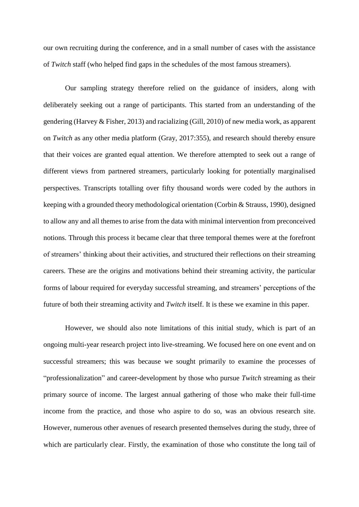our own recruiting during the conference, and in a small number of cases with the assistance of *Twitch* staff (who helped find gaps in the schedules of the most famous streamers).

Our sampling strategy therefore relied on the guidance of insiders, along with deliberately seeking out a range of participants. This started from an understanding of the gendering (Harvey & Fisher, 2013) and racializing (Gill, 2010) of new media work, as apparent on *Twitch* as any other media platform (Gray, 2017:355), and research should thereby ensure that their voices are granted equal attention. We therefore attempted to seek out a range of different views from partnered streamers, particularly looking for potentially marginalised perspectives. Transcripts totalling over fifty thousand words were coded by the authors in keeping with a grounded theory methodological orientation (Corbin & Strauss, 1990), designed to allow any and all themes to arise from the data with minimal intervention from preconceived notions. Through this process it became clear that three temporal themes were at the forefront of streamers' thinking about their activities, and structured their reflections on their streaming careers. These are the origins and motivations behind their streaming activity, the particular forms of labour required for everyday successful streaming, and streamers' perceptions of the future of both their streaming activity and *Twitch* itself. It is these we examine in this paper.

However, we should also note limitations of this initial study, which is part of an ongoing multi-year research project into live-streaming. We focused here on one event and on successful streamers; this was because we sought primarily to examine the processes of "professionalization" and career-development by those who pursue *Twitch* streaming as their primary source of income. The largest annual gathering of those who make their full-time income from the practice, and those who aspire to do so, was an obvious research site. However, numerous other avenues of research presented themselves during the study, three of which are particularly clear. Firstly, the examination of those who constitute the long tail of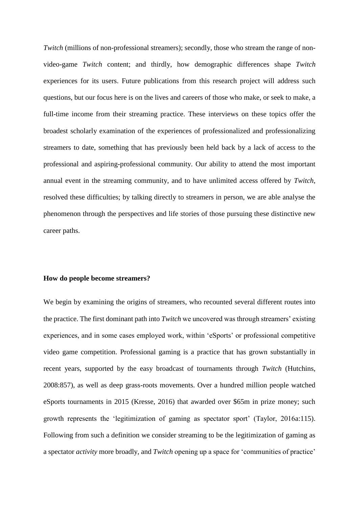*Twitch* (millions of non-professional streamers); secondly, those who stream the range of nonvideo-game *Twitch* content; and thirdly, how demographic differences shape *Twitch* experiences for its users. Future publications from this research project will address such questions, but our focus here is on the lives and careers of those who make, or seek to make, a full-time income from their streaming practice. These interviews on these topics offer the broadest scholarly examination of the experiences of professionalized and professionalizing streamers to date, something that has previously been held back by a lack of access to the professional and aspiring-professional community. Our ability to attend the most important annual event in the streaming community, and to have unlimited access offered by *Twitch*, resolved these difficulties; by talking directly to streamers in person, we are able analyse the phenomenon through the perspectives and life stories of those pursuing these distinctive new career paths.

#### **How do people become streamers?**

We begin by examining the origins of streamers, who recounted several different routes into the practice. The first dominant path into *Twitch* we uncovered was through streamers' existing experiences, and in some cases employed work, within 'eSports' or professional competitive video game competition. Professional gaming is a practice that has grown substantially in recent years, supported by the easy broadcast of tournaments through *Twitch* (Hutchins, 2008:857)*,* as well as deep grass-roots movements. Over a hundred million people watched eSports tournaments in 2015 (Kresse, 2016) that awarded over \$65m in prize money; such growth represents the 'legitimization of gaming as spectator sport' (Taylor, 2016a:115). Following from such a definition we consider streaming to be the legitimization of gaming as a spectator *activity* more broadly, and *Twitch* opening up a space for 'communities of practice'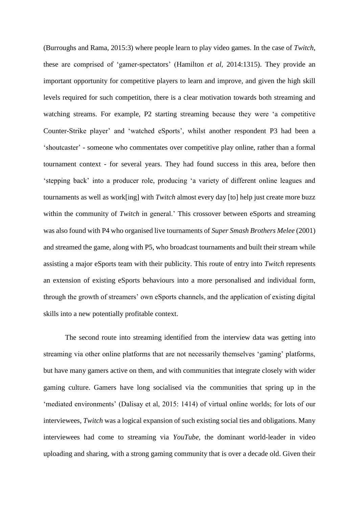(Burroughs and Rama, 2015:3) where people learn to play video games. In the case of *Twitch*, these are comprised of 'gamer-spectators' (Hamilton *et al,* 2014:1315). They provide an important opportunity for competitive players to learn and improve, and given the high skill levels required for such competition, there is a clear motivation towards both streaming and watching streams. For example, P2 starting streaming because they were 'a competitive Counter-Strike player' and 'watched eSports', whilst another respondent P3 had been a 'shoutcaster' - someone who commentates over competitive play online, rather than a formal tournament context - for several years. They had found success in this area, before then 'stepping back' into a producer role, producing 'a variety of different online leagues and tournaments as well as work[ing] with *Twitch* almost every day [to] help just create more buzz within the community of *Twitch* in general.' This crossover between eSports and streaming was also found with P4 who organised live tournaments of *Super Smash Brothers Melee* (2001) and streamed the game, along with P5, who broadcast tournaments and built their stream while assisting a major eSports team with their publicity. This route of entry into *Twitch* represents an extension of existing eSports behaviours into a more personalised and individual form, through the growth of streamers' own eSports channels, and the application of existing digital skills into a new potentially profitable context.

The second route into streaming identified from the interview data was getting into streaming via other online platforms that are not necessarily themselves 'gaming' platforms, but have many gamers active on them, and with communities that integrate closely with wider gaming culture. Gamers have long socialised via the communities that spring up in the 'mediated environments' (Dalisay et al, 2015: 1414) of virtual online worlds; for lots of our interviewees, *Twitch* was a logical expansion of such existing social ties and obligations. Many interviewees had come to streaming via *YouTube*, the dominant world-leader in video uploading and sharing, with a strong gaming community that is over a decade old. Given their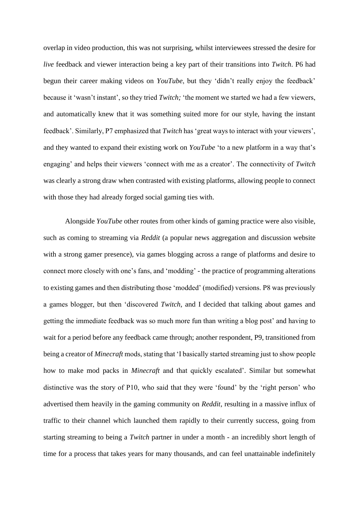overlap in video production, this was not surprising, whilst interviewees stressed the desire for *live* feedback and viewer interaction being a key part of their transitions into *Twitch*. P6 had begun their career making videos on *YouTube*, but they 'didn't really enjoy the feedback' because it 'wasn't instant', so they tried *Twitch;* 'the moment we started we had a few viewers, and automatically knew that it was something suited more for our style, having the instant feedback'. Similarly, P7 emphasized that *Twitch* has 'great ways to interact with your viewers', and they wanted to expand their existing work on *YouTube* 'to a new platform in a way that's engaging' and helps their viewers 'connect with me as a creator'. The connectivity of *Twitch* was clearly a strong draw when contrasted with existing platforms, allowing people to connect with those they had already forged social gaming ties with.

Alongside *YouTube* other routes from other kinds of gaming practice were also visible, such as coming to streaming via *Reddit* (a popular news aggregation and discussion website with a strong gamer presence), via games blogging across a range of platforms and desire to connect more closely with one's fans, and 'modding' - the practice of programming alterations to existing games and then distributing those 'modded' (modified) versions. P8 was previously a games blogger, but then 'discovered *Twitch,* and I decided that talking about games and getting the immediate feedback was so much more fun than writing a blog post' and having to wait for a period before any feedback came through; another respondent, P9, transitioned from being a creator of *Minecraft* mods, stating that 'I basically started streaming just to show people how to make mod packs in *Minecraft* and that quickly escalated'. Similar but somewhat distinctive was the story of P10, who said that they were 'found' by the 'right person' who advertised them heavily in the gaming community on *Reddit*, resulting in a massive influx of traffic to their channel which launched them rapidly to their currently success, going from starting streaming to being a *Twitch* partner in under a month - an incredibly short length of time for a process that takes years for many thousands, and can feel unattainable indefinitely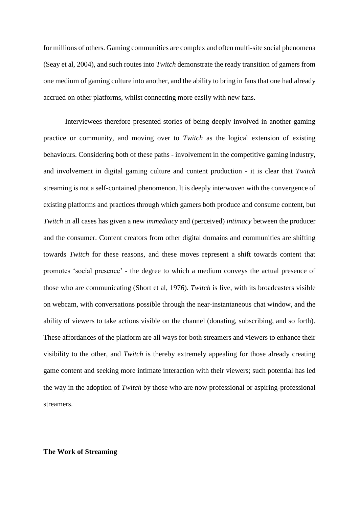for millions of others. Gaming communities are complex and often multi-site social phenomena (Seay et al, 2004), and such routes into *Twitch* demonstrate the ready transition of gamers from one medium of gaming culture into another, and the ability to bring in fans that one had already accrued on other platforms, whilst connecting more easily with new fans.

Interviewees therefore presented stories of being deeply involved in another gaming practice or community, and moving over to *Twitch* as the logical extension of existing behaviours. Considering both of these paths - involvement in the competitive gaming industry, and involvement in digital gaming culture and content production - it is clear that *Twitch*  streaming is not a self-contained phenomenon. It is deeply interwoven with the convergence of existing platforms and practices through which gamers both produce and consume content, but *Twitch* in all cases has given a new *immediacy* and (perceived) *intimacy* between the producer and the consumer. Content creators from other digital domains and communities are shifting towards *Twitch* for these reasons, and these moves represent a shift towards content that promotes 'social presence' - the degree to which a medium conveys the actual presence of those who are communicating (Short et al, 1976). *Twitch* is live, with its broadcasters visible on webcam, with conversations possible through the near-instantaneous chat window, and the ability of viewers to take actions visible on the channel (donating, subscribing, and so forth). These affordances of the platform are all ways for both streamers and viewers to enhance their visibility to the other, and *Twitch* is thereby extremely appealing for those already creating game content and seeking more intimate interaction with their viewers; such potential has led the way in the adoption of *Twitch* by those who are now professional or aspiring-professional streamers.

#### **The Work of Streaming**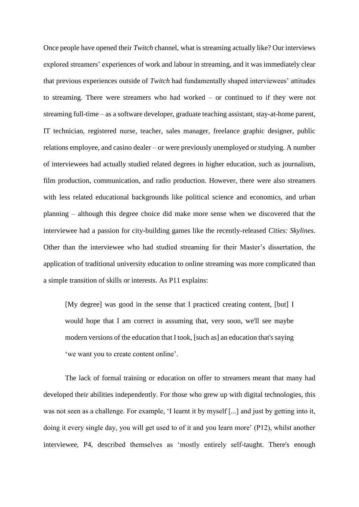Once people have opened their *Twitch* channel, what is streaming actually like? Our interviews explored streamers' experiences of work and labour in streaming, and it was immediately clear that previous experiences outside of *Twitch* had fundamentally shaped interviewees' attitudes to streaming. There were streamers who had worked – or continued to if they were not streaming full-time – as a software developer, graduate teaching assistant, stay-at-home parent, IT technician, registered nurse, teacher, sales manager, freelance graphic designer, public relations employee, and casino dealer – or were previously unemployed or studying. A number of interviewees had actually studied related degrees in higher education, such as journalism, film production, communication, and radio production. However, there were also streamers with less related educational backgrounds like political science and economics, and urban planning – although this degree choice did make more sense when we discovered that the interviewee had a passion for city-building games like the recently-released *Cities: Skylines*. Other than the interviewee who had studied streaming for their Master's dissertation, the application of traditional university education to online streaming was more complicated than a simple transition of skills or interests. As P11 explains:

[My degree] was good in the sense that I practiced creating content, [but] I would hope that I am correct in assuming that, very soon, we'll see maybe modern versions of the education that I took, [such as] an education that's saying 'we want you to create content online'.

The lack of formal training or education on offer to streamers meant that many had developed their abilities independently. For those who grew up with digital technologies, this was not seen as a challenge. For example, 'I learnt it by myself [...] and just by getting into it, doing it every single day, you will get used to of it and you learn more' (P12), whilst another interviewee, P4, described themselves as 'mostly entirely self-taught. There's enough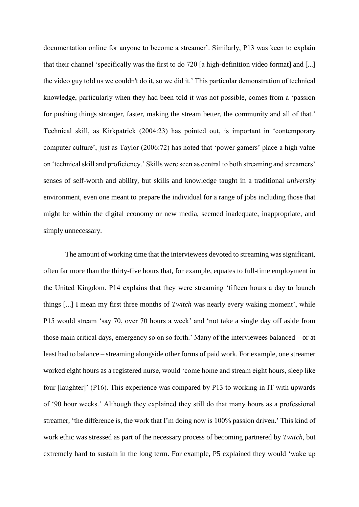documentation online for anyone to become a streamer'. Similarly, P13 was keen to explain that their channel 'specifically was the first to do 720 [a high-definition video format] and [...] the video guy told us we couldn't do it, so we did it.' This particular demonstration of technical knowledge, particularly when they had been told it was not possible, comes from a 'passion for pushing things stronger, faster, making the stream better, the community and all of that.' Technical skill, as Kirkpatrick (2004:23) has pointed out, is important in 'contemporary computer culture', just as Taylor (2006:72) has noted that 'power gamers' place a high value on 'technical skill and proficiency.' Skills were seen as central to both streaming and streamers' senses of self-worth and ability, but skills and knowledge taught in a traditional *university*  environment, even one meant to prepare the individual for a range of jobs including those that might be within the digital economy or new media, seemed inadequate, inappropriate, and simply unnecessary.

The amount of working time that the interviewees devoted to streaming was significant, often far more than the thirty-five hours that, for example, equates to full-time employment in the United Kingdom. P14 explains that they were streaming 'fifteen hours a day to launch things [...] I mean my first three months of *Twitch* was nearly every waking moment', while P15 would stream 'say 70, over 70 hours a week' and 'not take a single day off aside from those main critical days, emergency so on so forth.' Many of the interviewees balanced – or at least had to balance – streaming alongside other forms of paid work. For example, one streamer worked eight hours as a registered nurse, would 'come home and stream eight hours, sleep like four [laughter]' (P16). This experience was compared by P13 to working in IT with upwards of '90 hour weeks.' Although they explained they still do that many hours as a professional streamer, 'the difference is, the work that I'm doing now is 100% passion driven.' This kind of work ethic was stressed as part of the necessary process of becoming partnered by *Twitch*, but extremely hard to sustain in the long term. For example, P5 explained they would 'wake up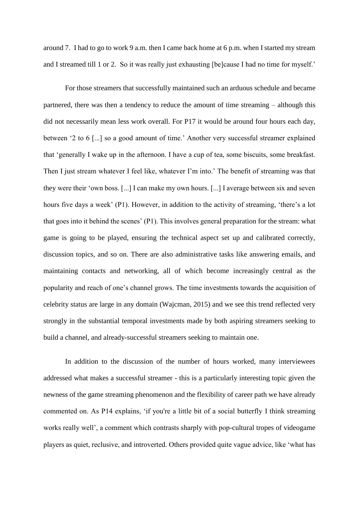around 7. I had to go to work 9 a.m. then I came back home at 6 p.m. when I started my stream and I streamed till 1 or 2. So it was really just exhausting [be]cause I had no time for myself.'

For those streamers that successfully maintained such an arduous schedule and became partnered, there was then a tendency to reduce the amount of time streaming – although this did not necessarily mean less work overall. For P17 it would be around four hours each day, between '2 to 6 [...] so a good amount of time.' Another very successful streamer explained that 'generally I wake up in the afternoon. I have a cup of tea, some biscuits, some breakfast. Then I just stream whatever I feel like, whatever I'm into.' The benefit of streaming was that they were their 'own boss. [...] I can make my own hours. [...] I average between six and seven hours five days a week' (P1). However, in addition to the activity of streaming, 'there's a lot that goes into it behind the scenes' (P1). This involves general preparation for the stream: what game is going to be played, ensuring the technical aspect set up and calibrated correctly, discussion topics, and so on. There are also administrative tasks like answering emails, and maintaining contacts and networking, all of which become increasingly central as the popularity and reach of one's channel grows. The time investments towards the acquisition of celebrity status are large in any domain (Wajcman, 2015) and we see this trend reflected very strongly in the substantial temporal investments made by both aspiring streamers seeking to build a channel, and already-successful streamers seeking to maintain one.

In addition to the discussion of the number of hours worked, many interviewees addressed what makes a successful streamer - this is a particularly interesting topic given the newness of the game streaming phenomenon and the flexibility of career path we have already commented on. As P14 explains, 'if you're a little bit of a social butterfly I think streaming works really well', a comment which contrasts sharply with pop-cultural tropes of videogame players as quiet, reclusive, and introverted. Others provided quite vague advice, like 'what has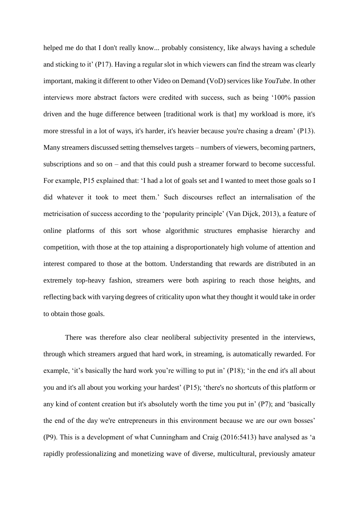helped me do that I don't really know... probably consistency, like always having a schedule and sticking to it' (P17). Having a regular slot in which viewers can find the stream was clearly important, making it different to other Video on Demand (VoD) services like *YouTube*. In other interviews more abstract factors were credited with success, such as being '100% passion driven and the huge difference between [traditional work is that] my workload is more, it's more stressful in a lot of ways, it's harder, it's heavier because you're chasing a dream' (P13). Many streamers discussed setting themselves targets – numbers of viewers, becoming partners, subscriptions and so on – and that this could push a streamer forward to become successful. For example, P15 explained that: 'I had a lot of goals set and I wanted to meet those goals so I did whatever it took to meet them.' Such discourses reflect an internalisation of the metricisation of success according to the 'popularity principle' (Van Dijck, 2013), a feature of online platforms of this sort whose algorithmic structures emphasise hierarchy and competition, with those at the top attaining a disproportionately high volume of attention and interest compared to those at the bottom. Understanding that rewards are distributed in an extremely top-heavy fashion, streamers were both aspiring to reach those heights, and reflecting back with varying degrees of criticality upon what they thought it would take in order to obtain those goals.

There was therefore also clear neoliberal subjectivity presented in the interviews, through which streamers argued that hard work, in streaming, is automatically rewarded. For example, 'it's basically the hard work you're willing to put in' (P18); 'in the end it's all about you and it's all about you working your hardest' (P15); 'there's no shortcuts of this platform or any kind of content creation but it's absolutely worth the time you put in' (P7); and 'basically the end of the day we're entrepreneurs in this environment because we are our own bosses' (P9). This is a development of what Cunningham and Craig (2016:5413) have analysed as 'a rapidly professionalizing and monetizing wave of diverse, multicultural, previously amateur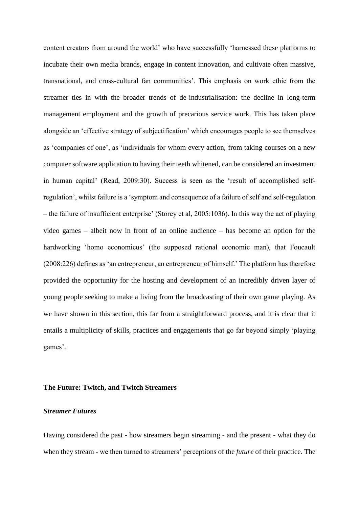content creators from around the world' who have successfully 'harnessed these platforms to incubate their own media brands, engage in content innovation, and cultivate often massive, transnational, and cross-cultural fan communities'. This emphasis on work ethic from the streamer ties in with the broader trends of de-industrialisation: the decline in long-term management employment and the growth of precarious service work. This has taken place alongside an 'effective strategy of subjectification' which encourages people to see themselves as 'companies of one', as 'individuals for whom every action, from taking courses on a new computer software application to having their teeth whitened, can be considered an investment in human capital' (Read, 2009:30). Success is seen as the 'result of accomplished selfregulation', whilst failure is a 'symptom and consequence of a failure of self and self-regulation – the failure of insufficient enterprise' (Storey et al, 2005:1036). In this way the act of playing video games – albeit now in front of an online audience – has become an option for the hardworking 'homo economicus' (the supposed rational economic man), that Foucault (2008:226) defines as 'an entrepreneur, an entrepreneur of himself.' The platform has therefore provided the opportunity for the hosting and development of an incredibly driven layer of young people seeking to make a living from the broadcasting of their own game playing. As we have shown in this section, this far from a straightforward process, and it is clear that it entails a multiplicity of skills, practices and engagements that go far beyond simply 'playing games'.

#### **The Future: Twitch, and Twitch Streamers**

#### *Streamer Futures*

Having considered the past - how streamers begin streaming - and the present - what they do when they stream - we then turned to streamers' perceptions of the *future* of their practice. The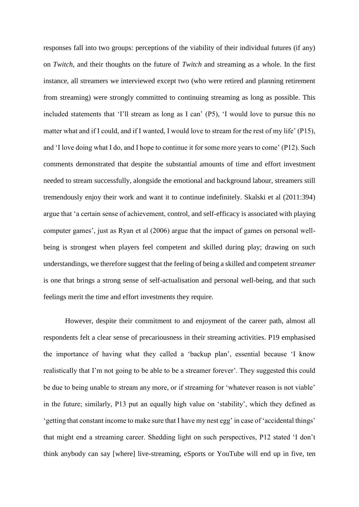responses fall into two groups: perceptions of the viability of their individual futures (if any) on *Twitch*, and their thoughts on the future of *Twitch* and streaming as a whole. In the first instance, all streamers we interviewed except two (who were retired and planning retirement from streaming) were strongly committed to continuing streaming as long as possible. This included statements that 'I'll stream as long as I can' (P5), 'I would love to pursue this no matter what and if I could, and if I wanted, I would love to stream for the rest of my life' (P15), and 'I love doing what I do, and I hope to continue it for some more years to come' (P12). Such comments demonstrated that despite the substantial amounts of time and effort investment needed to stream successfully, alongside the emotional and background labour, streamers still tremendously enjoy their work and want it to continue indefinitely. Skalski et al (2011:394) argue that 'a certain sense of achievement, control, and self-efficacy is associated with playing computer games', just as Ryan et al (2006) argue that the impact of games on personal wellbeing is strongest when players feel competent and skilled during play; drawing on such understandings, we therefore suggest that the feeling of being a skilled and competent *streamer*  is one that brings a strong sense of self-actualisation and personal well-being, and that such feelings merit the time and effort investments they require.

However, despite their commitment to and enjoyment of the career path, almost all respondents felt a clear sense of precariousness in their streaming activities. P19 emphasised the importance of having what they called a 'backup plan', essential because 'I know realistically that I'm not going to be able to be a streamer forever'. They suggested this could be due to being unable to stream any more, or if streaming for 'whatever reason is not viable' in the future; similarly, P13 put an equally high value on 'stability', which they defined as 'getting that constant income to make sure that I have my nest egg' in case of 'accidental things' that might end a streaming career. Shedding light on such perspectives, P12 stated 'I don't think anybody can say [where] live-streaming, eSports or YouTube will end up in five, ten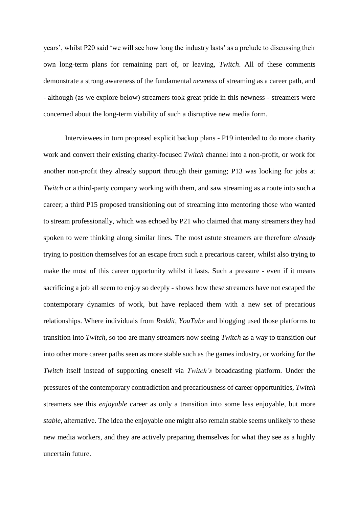years', whilst P20 said 'we will see how long the industry lasts' as a prelude to discussing their own long-term plans for remaining part of, or leaving, *Twitch*. All of these comments demonstrate a strong awareness of the fundamental *newness* of streaming as a career path, and - although (as we explore below) streamers took great pride in this newness - streamers were concerned about the long-term viability of such a disruptive new media form.

Interviewees in turn proposed explicit backup plans - P19 intended to do more charity work and convert their existing charity-focused *Twitch* channel into a non-profit, or work for another non-profit they already support through their gaming; P13 was looking for jobs at *Twitch* or a third-party company working with them, and saw streaming as a route into such a career; a third P15 proposed transitioning out of streaming into mentoring those who wanted to stream professionally, which was echoed by P21 who claimed that many streamers they had spoken to were thinking along similar lines. The most astute streamers are therefore *already* trying to position themselves for an escape from such a precarious career, whilst also trying to make the most of this career opportunity whilst it lasts. Such a pressure - even if it means sacrificing a job all seem to enjoy so deeply - shows how these streamers have not escaped the contemporary dynamics of work, but have replaced them with a new set of precarious relationships. Where individuals from *Reddit*, *YouTube* and blogging used those platforms to transition into *Twitch*, so too are many streamers now seeing *Twitch* as a way to transition *out* into other more career paths seen as more stable such as the games industry, or working for the *Twitch* itself instead of supporting oneself via *Twitch's* broadcasting platform. Under the pressures of the contemporary contradiction and precariousness of career opportunities, *Twitch* streamers see this *enjoyable* career as only a transition into some less enjoyable, but more *stable*, alternative. The idea the enjoyable one might also remain stable seems unlikely to these new media workers, and they are actively preparing themselves for what they see as a highly uncertain future.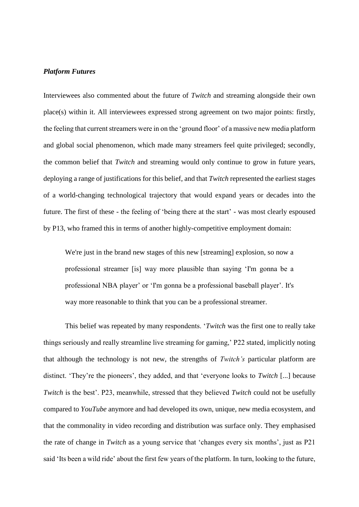#### *Platform Futures*

Interviewees also commented about the future of *Twitch* and streaming alongside their own place(s) within it. All interviewees expressed strong agreement on two major points: firstly, the feeling that current streamers were in on the 'ground floor' of a massive new media platform and global social phenomenon, which made many streamers feel quite privileged; secondly, the common belief that *Twitch* and streaming would only continue to grow in future years, deploying a range of justifications for this belief, and that *Twitch* represented the earliest stages of a world-changing technological trajectory that would expand years or decades into the future. The first of these - the feeling of 'being there at the start' - was most clearly espoused by P13, who framed this in terms of another highly-competitive employment domain:

We're just in the brand new stages of this new [streaming] explosion, so now a professional streamer [is] way more plausible than saying 'I'm gonna be a professional NBA player' or 'I'm gonna be a professional baseball player'. It's way more reasonable to think that you can be a professional streamer.

This belief was repeated by many respondents. '*Twitch* was the first one to really take things seriously and really streamline live streaming for gaming,' P22 stated, implicitly noting that although the technology is not new, the strengths of *Twitch's* particular platform are distinct. 'They're the pioneers', they added, and that 'everyone looks to *Twitch* [...] because *Twitch* is the best'. P23, meanwhile, stressed that they believed *Twitch* could not be usefully compared to *YouTube* anymore and had developed its own, unique, new media ecosystem, and that the commonality in video recording and distribution was surface only. They emphasised the rate of change in *Twitch* as a young service that 'changes every six months', just as P21 said 'Its been a wild ride' about the first few years of the platform. In turn, looking to the future,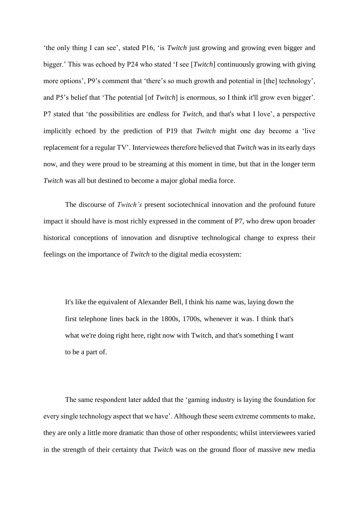'the only thing I can see', stated P16, 'is *Twitch* just growing and growing even bigger and bigger.' This was echoed by P24 who stated 'I see [*Twitch*] continuously growing with giving more options', P9's comment that 'there's so much growth and potential in [the] technology', and P5's belief that 'The potential [of *Twitch*] is enormous, so I think it'll grow even bigger'. P7 stated that 'the possibilities are endless for *Twitch*, and that's what I love', a perspective implicitly echoed by the prediction of P19 that *Twitch* might one day become a 'live replacement for a regular TV'. Interviewees therefore believed that *Twitch* was in its early days now, and they were proud to be streaming at this moment in time, but that in the longer term *Twitch* was all but destined to become a major global media force.

The discourse of *Twitch's* present sociotechnical innovation and the profound future impact it should have is most richly expressed in the comment of P7, who drew upon broader historical conceptions of innovation and disruptive technological change to express their feelings on the importance of *Twitch* to the digital media ecosystem:

It's like the equivalent of Alexander Bell, I think his name was, laying down the first telephone lines back in the 1800s, 1700s, whenever it was. I think that's what we're doing right here, right now with Twitch, and that's something I want to be a part of.

The same respondent later added that the 'gaming industry is laying the foundation for every single technology aspect that we have'. Although these seem extreme comments to make, they are only a little more dramatic than those of other respondents; whilst interviewees varied in the strength of their certainty that *Twitch* was on the ground floor of massive new media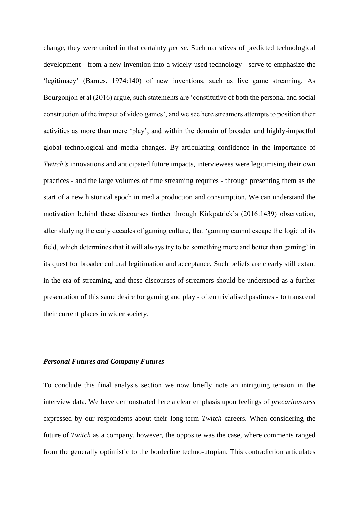change, they were united in that certainty *per se*. Such narratives of predicted technological development - from a new invention into a widely-used technology - serve to emphasize the 'legitimacy' (Barnes, 1974:140) of new inventions, such as live game streaming. As Bourgonjon et al (2016) argue, such statements are 'constitutive of both the personal and social construction of the impact of video games', and we see here streamers attempts to position their activities as more than mere 'play', and within the domain of broader and highly-impactful global technological and media changes. By articulating confidence in the importance of *Twitch's* innovations and anticipated future impacts, interviewees were legitimising their own practices - and the large volumes of time streaming requires - through presenting them as the start of a new historical epoch in media production and consumption. We can understand the motivation behind these discourses further through Kirkpatrick's (2016:1439) observation, after studying the early decades of gaming culture, that 'gaming cannot escape the logic of its field, which determines that it will always try to be something more and better than gaming' in its quest for broader cultural legitimation and acceptance. Such beliefs are clearly still extant in the era of streaming, and these discourses of streamers should be understood as a further presentation of this same desire for gaming and play - often trivialised pastimes - to transcend their current places in wider society.

#### *Personal Futures and Company Futures*

To conclude this final analysis section we now briefly note an intriguing tension in the interview data. We have demonstrated here a clear emphasis upon feelings of *precariousness*  expressed by our respondents about their long-term *Twitch* careers. When considering the future of *Twitch* as a company, however, the opposite was the case, where comments ranged from the generally optimistic to the borderline techno-utopian. This contradiction articulates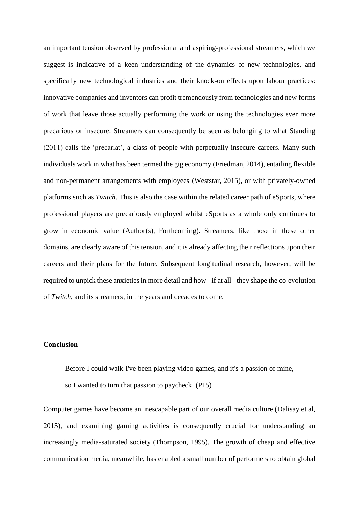an important tension observed by professional and aspiring-professional streamers, which we suggest is indicative of a keen understanding of the dynamics of new technologies, and specifically new technological industries and their knock-on effects upon labour practices: innovative companies and inventors can profit tremendously from technologies and new forms of work that leave those actually performing the work or using the technologies ever more precarious or insecure. Streamers can consequently be seen as belonging to what Standing (2011) calls the 'precariat', a class of people with perpetually insecure careers. Many such individuals work in what has been termed the gig economy (Friedman, 2014), entailing flexible and non-permanent arrangements with employees (Weststar, 2015), or with privately-owned platforms such as *Twitch*. This is also the case within the related career path of eSports, where professional players are precariously employed whilst eSports as a whole only continues to grow in economic value (Author(s), Forthcoming). Streamers, like those in these other domains, are clearly aware of this tension, and it is already affecting their reflections upon their careers and their plans for the future. Subsequent longitudinal research, however, will be required to unpick these anxieties in more detail and how - if at all - they shape the co-evolution of *Twitch*, and its streamers, in the years and decades to come.

#### **Conclusion**

Before I could walk I've been playing video games, and it's a passion of mine,

so I wanted to turn that passion to paycheck. (P15)

Computer games have become an inescapable part of our overall media culture (Dalisay et al, 2015), and examining gaming activities is consequently crucial for understanding an increasingly media-saturated society (Thompson, 1995). The growth of cheap and effective communication media, meanwhile, has enabled a small number of performers to obtain global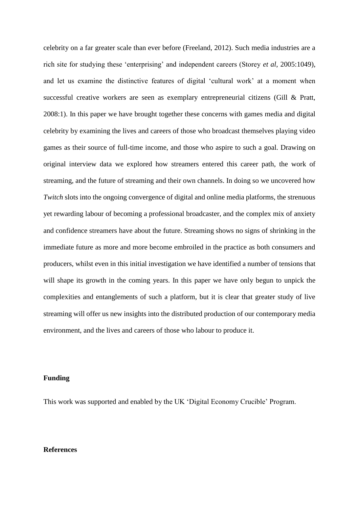celebrity on a far greater scale than ever before (Freeland, 2012). Such media industries are a rich site for studying these 'enterprising' and independent careers (Storey *et al*, 2005:1049), and let us examine the distinctive features of digital 'cultural work' at a moment when successful creative workers are seen as exemplary entrepreneurial citizens (Gill & Pratt, 2008:1). In this paper we have brought together these concerns with games media and digital celebrity by examining the lives and careers of those who broadcast themselves playing video games as their source of full-time income, and those who aspire to such a goal. Drawing on original interview data we explored how streamers entered this career path, the work of streaming, and the future of streaming and their own channels. In doing so we uncovered how *Twitch* slots into the ongoing convergence of digital and online media platforms, the strenuous yet rewarding labour of becoming a professional broadcaster, and the complex mix of anxiety and confidence streamers have about the future. Streaming shows no signs of shrinking in the immediate future as more and more become embroiled in the practice as both consumers and producers, whilst even in this initial investigation we have identified a number of tensions that will shape its growth in the coming years. In this paper we have only begun to unpick the complexities and entanglements of such a platform, but it is clear that greater study of live streaming will offer us new insights into the distributed production of our contemporary media environment, and the lives and careers of those who labour to produce it.

#### **Funding**

This work was supported and enabled by the UK 'Digital Economy Crucible' Program.

#### **References**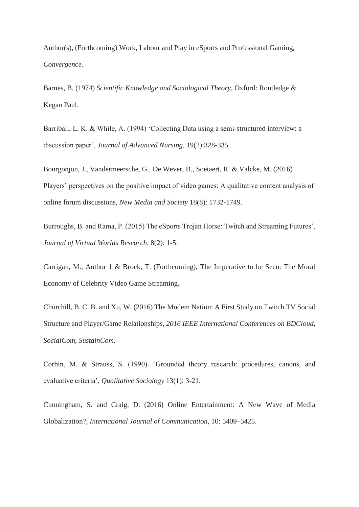Author(s), (Forthcoming) Work, Labour and Play in eSports and Professional Gaming, *Convergence*.

Barnes, B. (1974) *Scientific Knowledge and Sociological Theory*, Oxford: Routledge & Kegan Paul.

Barriball, L. K. & While, A. (1994) 'Collecting Data using a semi-structured interview: a discussion paper', *Journal of Advanced Nursing*, 19(2):328-335.

Bourgonjon, J., Vandermeersche, G., De Wever, B., Soetaert, R. & Valcke, M. (2016) Players' perspectives on the positive impact of video games: A qualitative content analysis of online forum discussions, *New Media and Society* 18(8): 1732-1749.

Burroughs, B. and Rama, P. (2015) The eSports Trojan Horse: Twitch and Streaming Futures', *Journal of Virtual Worlds Research,* 8(2): 1-5.

Carrigan, M., Author 1 & Brock, T. (Forthcoming), The Imperative to be Seen: The Moral Economy of Celebrity Video Game Streaming.

Churchill, B. C. B. and Xu, W. (2016) The Modem Nation: A First Study on Twitch.TV Social Structure and Player/Game Relationships, *2016 IEEE International Conferences on BDCloud, SocialCom, SustainCom.*

Corbin, M. & Strauss, S. (1990). 'Grounded theory research: procedures, canons, and evaluative criteria', *Qualitative Sociology* 13(1): 3-21.

Cunningham, S. and Craig, D. (2016) Online Entertainment: A New Wave of Media Globalization?, *International Journal of Communication*, 10: 5409–5425.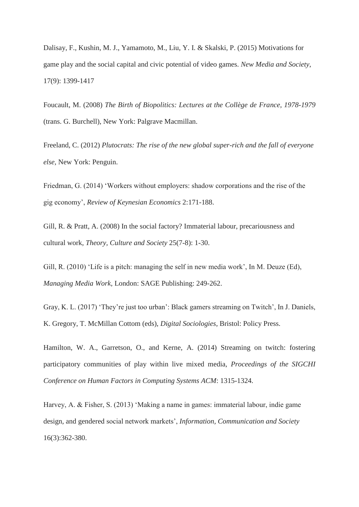Dalisay, F., Kushin, M. J., Yamamoto, M., Liu, Y. I. & Skalski, P. (2015) Motivations for game play and the social capital and civic potential of video games. *New Media and Society*, 17(9): 1399-1417

Foucault, M. (2008) *The Birth of Biopolitics: Lectures at the Collège de France, 1978-1979*  (trans. G. Burchell), New York: Palgrave Macmillan.

Freeland, C. (2012) *Plutocrats: The rise of the new global super-rich and the fall of everyone else,* New York: Penguin.

Friedman, G. (2014) 'Workers without employers: shadow corporations and the rise of the gig economy', *Review of Keynesian Economics* 2:171-188.

Gill, R. & Pratt, A. (2008) In the social factory? Immaterial labour, precariousness and cultural work, *Theory, Culture and Society* 25(7-8): 1-30.

Gill, R. (2010) 'Life is a pitch: managing the self in new media work', In M. Deuze (Ed), *Managing Media Work,* London: SAGE Publishing: 249-262.

Gray, K. L. (2017) 'They're just too urban': Black gamers streaming on Twitch', In J. Daniels, K. Gregory, T. McMillan Cottom (eds), *Digital Sociologies*, Bristol: Policy Press.

Hamilton, W. A., Garretson, O., and Kerne, A. (2014) Streaming on twitch: fostering participatory communities of play within live mixed media, *Proceedings of the SIGCHI Conference on Human Factors in Computing Systems ACM*: 1315-1324.

Harvey, A. & Fisher, S. (2013) 'Making a name in games: immaterial labour, indie game design, and gendered social network markets', *Information, Communication and Society* 16(3):362-380.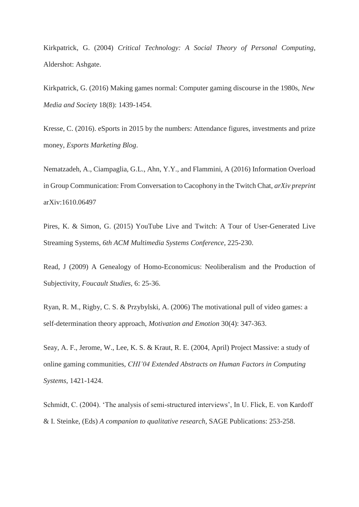Kirkpatrick, G. (2004) *Critical Technology: A Social Theory of Personal Computing*, Aldershot: Ashgate.

Kirkpatrick, G. (2016) Making games normal: Computer gaming discourse in the 1980s, *New Media and Society* 18(8): 1439-1454.

Kresse, C. (2016). eSports in 2015 by the numbers: Attendance figures, investments and prize money, *Esports Marketing Blog*.

Nematzadeh, A., Ciampaglia, G.L., Ahn, Y.Y., and Flammini, A (2016) Information Overload in Group Communication: From Conversation to Cacophony in the Twitch Chat, *arXiv preprint*  arXiv:1610.06497

Pires, K. & Simon, G. (2015) YouTube Live and Twitch: A Tour of User-Generated Live Streaming Systems, *6th ACM Multimedia Systems Conference*, 225-230.

Read, J (2009) A Genealogy of Homo-Economicus: Neoliberalism and the Production of Subjectivity, *Foucault Studies,* 6: 25-36.

Ryan, R. M., Rigby, C. S. & Przybylski, A. (2006) The motivational pull of video games: a self-determination theory approach, *Motivation and Emotion* 30(4): 347-363.

Seay, A. F., Jerome, W., Lee, K. S. & Kraut, R. E. (2004, April) Project Massive: a study of online gaming communities, *CHI'04 Extended Abstracts on Human Factors in Computing Systems*, 1421-1424.

Schmidt, C. (2004). 'The analysis of semi-structured interviews', In U. Flick, E. von Kardoff & I. Steinke, (Eds) *A companion to qualitative research*, SAGE Publications: 253-258.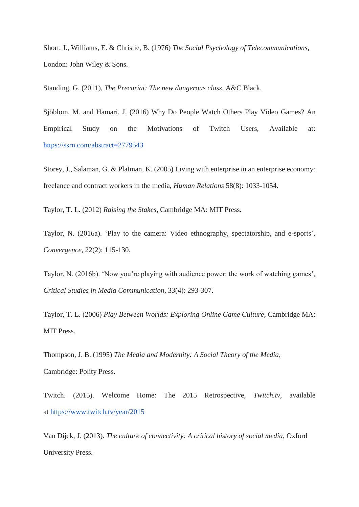Short, J., Williams, E. & Christie, B. (1976) *The Social Psychology of Telecommunications,*  London: John Wiley & Sons.

Standing, G. (2011), *The Precariat: The new dangerous class*, A&C Black.

Sjöblom, M. and Hamari, J. (2016) Why Do People Watch Others Play Video Games? An Empirical Study on the Motivations of Twitch Users, Available at[:](https://ssrn.com/abstract=2779543) <https://ssrn.com/abstract=2779543>

Storey, J., Salaman, G. & Platman, K. (2005) Living with enterprise in an enterprise economy: freelance and contract workers in the media, *Human Relations* 58(8): 1033-1054.

Taylor, T. L. (2012) *Raising the Stakes*, Cambridge MA: MIT Press.

Taylor, N. (2016a). 'Play to the camera: Video ethnography, spectatorship, and e-sports', *Convergence*, 22(2): 115-130.

Taylor, N. (2016b). 'Now you're playing with audience power: the work of watching games', *Critical Studies in Media Communication*, 33(4): 293-307.

Taylor, T. L. (2006) *Play Between Worlds: Exploring Online Game Culture*, Cambridge MA: MIT Press.

Thompson, J. B. (1995) *The Media and Modernity: A Social Theory of the Media*, Cambridge: Polity Press.

Twitch. (2015). Welcome Home: The 2015 Retrospective, *Twitch.tv,* available at <https://www.twitch.tv/year/2015>

Van Dijck, J. (2013). *The culture of connectivity: A critical history of social media*, Oxford University Press.